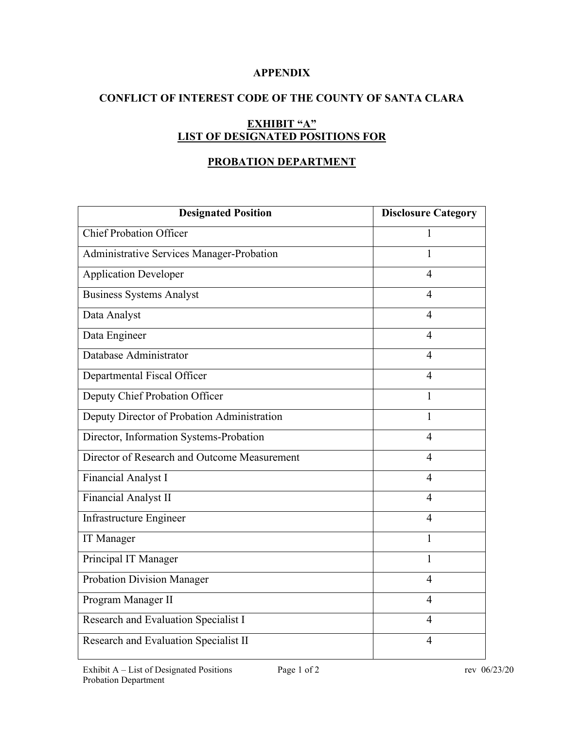# **APPENDIX**

# **CONFLICT OF INTEREST CODE OF THE COUNTY OF SANTA CLARA**

# **EXHIBIT "A" LIST OF DESIGNATED POSITIONS FOR**

# **PROBATION DEPARTMENT**

| <b>Designated Position</b>                   | <b>Disclosure Category</b> |
|----------------------------------------------|----------------------------|
| <b>Chief Probation Officer</b>               | 1                          |
| Administrative Services Manager-Probation    | 1                          |
| <b>Application Developer</b>                 | $\overline{4}$             |
| <b>Business Systems Analyst</b>              | $\overline{4}$             |
| Data Analyst                                 | $\overline{4}$             |
| Data Engineer                                | 4                          |
| Database Administrator                       | $\overline{4}$             |
| Departmental Fiscal Officer                  | $\overline{4}$             |
| Deputy Chief Probation Officer               | 1                          |
| Deputy Director of Probation Administration  | $\mathbf{1}$               |
| Director, Information Systems-Probation      | $\overline{4}$             |
| Director of Research and Outcome Measurement | $\overline{4}$             |
| Financial Analyst I                          | $\overline{4}$             |
| Financial Analyst II                         | $\overline{4}$             |
| Infrastructure Engineer                      | $\overline{4}$             |
| IT Manager                                   | 1                          |
| Principal IT Manager                         | $\mathbf{1}$               |
| <b>Probation Division Manager</b>            | $\overline{4}$             |
| Program Manager II                           | $\overline{4}$             |
| Research and Evaluation Specialist I         | 4                          |
| Research and Evaluation Specialist II        | $\overline{4}$             |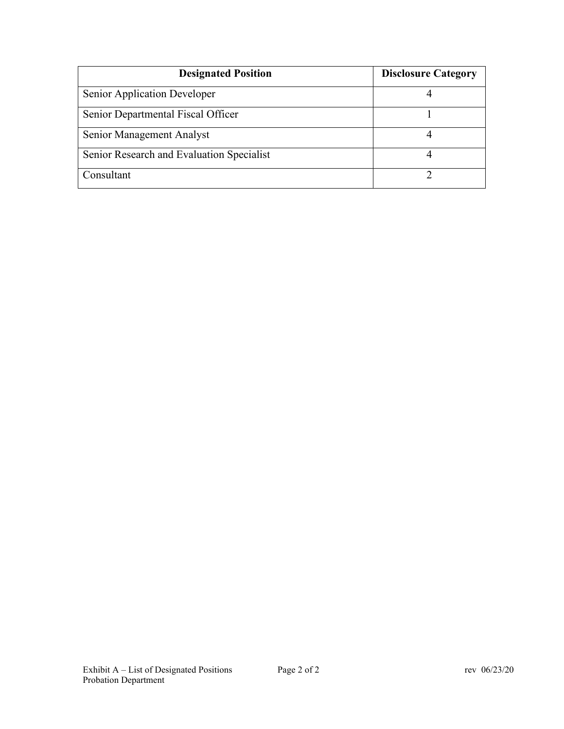| <b>Designated Position</b>                | <b>Disclosure Category</b> |
|-------------------------------------------|----------------------------|
| Senior Application Developer              |                            |
| Senior Departmental Fiscal Officer        |                            |
| Senior Management Analyst                 |                            |
| Senior Research and Evaluation Specialist |                            |
| Consultant                                |                            |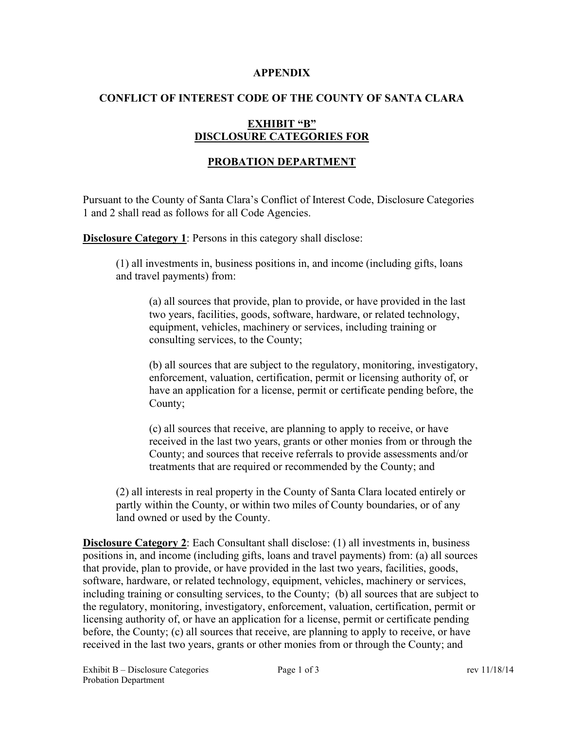#### **APPENDIX**

### **CONFLICT OF INTEREST CODE OF THE COUNTY OF SANTA CLARA**

# **EXHIBIT "B" DISCLOSURE CATEGORIES FOR**

# **PROBATION DEPARTMENT**

Pursuant to the County of Santa Clara's Conflict of Interest Code, Disclosure Categories 1 and 2 shall read as follows for all Code Agencies.

**Disclosure Category 1:** Persons in this category shall disclose:

(1) all investments in, business positions in, and income (including gifts, loans and travel payments) from:

(a) all sources that provide, plan to provide, or have provided in the last two years, facilities, goods, software, hardware, or related technology, equipment, vehicles, machinery or services, including training or consulting services, to the County;

(b) all sources that are subject to the regulatory, monitoring, investigatory, enforcement, valuation, certification, permit or licensing authority of, or have an application for a license, permit or certificate pending before, the County;

(c) all sources that receive, are planning to apply to receive, or have received in the last two years, grants or other monies from or through the County; and sources that receive referrals to provide assessments and/or treatments that are required or recommended by the County; and

(2) all interests in real property in the County of Santa Clara located entirely or partly within the County, or within two miles of County boundaries, or of any land owned or used by the County.

**Disclosure Category 2**: Each Consultant shall disclose: (1) all investments in, business positions in, and income (including gifts, loans and travel payments) from: (a) all sources that provide, plan to provide, or have provided in the last two years, facilities, goods, software, hardware, or related technology, equipment, vehicles, machinery or services, including training or consulting services, to the County; (b) all sources that are subject to the regulatory, monitoring, investigatory, enforcement, valuation, certification, permit or licensing authority of, or have an application for a license, permit or certificate pending before, the County; (c) all sources that receive, are planning to apply to receive, or have received in the last two years, grants or other monies from or through the County; and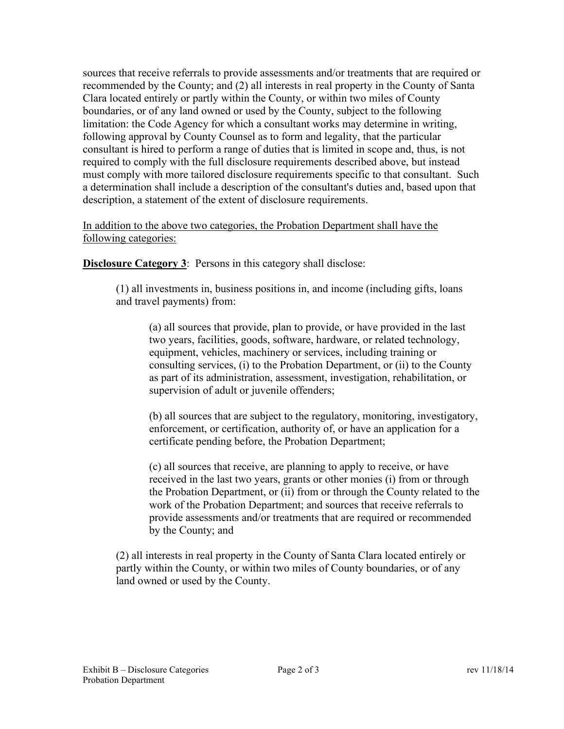sources that receive referrals to provide assessments and/or treatments that are required or recommended by the County; and (2) all interests in real property in the County of Santa Clara located entirely or partly within the County, or within two miles of County boundaries, or of any land owned or used by the County, subject to the following limitation: the Code Agency for which a consultant works may determine in writing, following approval by County Counsel as to form and legality, that the particular consultant is hired to perform a range of duties that is limited in scope and, thus, is not required to comply with the full disclosure requirements described above, but instead must comply with more tailored disclosure requirements specific to that consultant. Such a determination shall include a description of the consultant's duties and, based upon that description, a statement of the extent of disclosure requirements.

In addition to the above two categories, the Probation Department shall have the following categories:

**Disclosure Category 3:** Persons in this category shall disclose:

(1) all investments in, business positions in, and income (including gifts, loans and travel payments) from:

(a) all sources that provide, plan to provide, or have provided in the last two years, facilities, goods, software, hardware, or related technology, equipment, vehicles, machinery or services, including training or consulting services, (i) to the Probation Department, or (ii) to the County as part of its administration, assessment, investigation, rehabilitation, or supervision of adult or juvenile offenders;

(b) all sources that are subject to the regulatory, monitoring, investigatory, enforcement, or certification, authority of, or have an application for a certificate pending before, the Probation Department;

(c) all sources that receive, are planning to apply to receive, or have received in the last two years, grants or other monies (i) from or through the Probation Department, or (ii) from or through the County related to the work of the Probation Department; and sources that receive referrals to provide assessments and/or treatments that are required or recommended by the County; and

(2) all interests in real property in the County of Santa Clara located entirely or partly within the County, or within two miles of County boundaries, or of any land owned or used by the County.